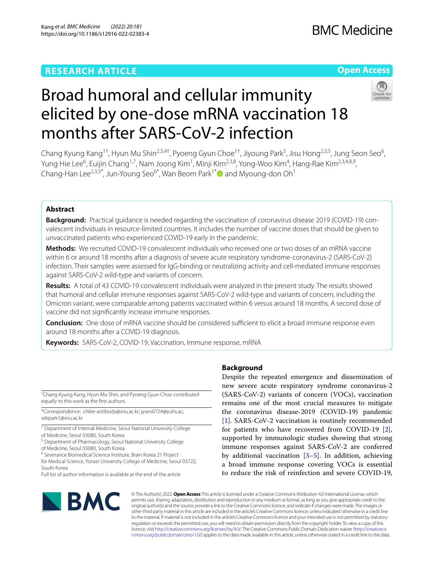# **RESEARCH ARTICLE**

# **Open Access**



# Broad humoral and cellular immunity elicited by one-dose mRNA vaccination 18 months after SARS-CoV-2 infection

Chang Kyung Kang<sup>1†</sup>, Hyun Mu Shin<sup>2,3,4†</sup>, Pyoeng Gyun Choe<sup>1†</sup>, Jiyoung Park<sup>5</sup>, Jisu Hong<sup>2,3,5</sup>, Jung Seon Seo<sup>6</sup>, Yung Hie Lee<sup>6</sup>, Euijin Chang<sup>1,7</sup>, Nam Joong Kim<sup>1</sup>, Minji Kim<sup>2,3,8</sup>, Yong-Woo Kim<sup>4</sup>, Hang-Rae Kim<sup>2,3,4,8,9</sup>, Chang-Han Lee<sup>2,3,5\*</sup>, Jun-Young Seo<sup>6\*</sup>, Wan Beom Park<sup>1\*</sup> and Myoung-don Oh<sup>1</sup>

# **Abstract**

**Background:** Practical guidance is needed regarding the vaccination of coronavirus disease 2019 (COVID-19) convalescent individuals in resource-limited countries. It includes the number of vaccine doses that should be given to unvaccinated patients who experienced COVID-19 early in the pandemic.

**Methods:** We recruited COVID-19 convalescent individuals who received one or two doses of an mRNA vaccine within 6 or around 18 months after a diagnosis of severe acute respiratory syndrome-coronavirus-2 (SARS-CoV-2) infection. Their samples were assessed for IgG-binding or neutralizing activity and cell-mediated immune responses against SARS-CoV-2 wild-type and variants of concern.

**Results:** A total of 43 COVID-19 convalescent individuals were analyzed in the present study. The results showed that humoral and cellular immune responses against SARS-CoV-2 wild-type and variants of concern, including the Omicron variant, were comparable among patients vaccinated within 6 versus around 18 months. A second dose of vaccine did not signifcantly increase immune responses.

**Conclusion:** One dose of mRNA vaccine should be considered sufficient to elicit a broad immune response even around 18 months after a COVID-19 diagnosis.

**Keywords:** SARS-CoV-2, COVID-19, Vaccination, Immune response, mRNA

† Chang Kyung Kang, Hyun Mu Shin, and Pyoeng Gyun Choe contributed equally to this work as the frst authors.

\*Correspondence: chlee-antibody@snu.ac.kr; jyseo0724@yuhs.ac; wbpark1@snu.ac.kr

<sup>1</sup> Department of Internal Medicine, Seoul National University College of Medicine, Seoul 03080, South Korea

<sup>5</sup> Department of Pharmacology, Seoul National University College of Medicine, Seoul 03080, South Korea

<sup>6</sup> Severance Biomedical Science Institute, Brain Korea 21 Project

for Medical Science, Yonsei University College of Medicine, Seoul 03722, South Korea

Full list of author information is available at the end of the article

# **Background**

Despite the repeated emergence and dissemination of new severe acute respiratory syndrome coronavirus-2 (SARS-CoV-2) variants of concern (VOCs), vaccination remains one of the most crucial measures to mitigate the coronavirus disease-2019 (COVID-19) pandemic [[1\]](#page-7-0). SARS-CoV-2 vaccination is routinely recommended for patients who have recovered from COVID-19 [\[2](#page-7-1)], supported by immunologic studies showing that strong immune responses against SARS-CoV-2 are conferred by additional vaccination  $[3-5]$  $[3-5]$ . In addition, achieving a broad immune response covering VOCs is essential to reduce the risk of reinfection and severe COVID-19,



© The Author(s) 2022. **Open Access** This article is licensed under a Creative Commons Attribution 4.0 International License, which permits use, sharing, adaptation, distribution and reproduction in any medium or format, as long as you give appropriate credit to the original author(s) and the source, provide a link to the Creative Commons licence, and indicate if changes were made. The images or other third party material in this article are included in the article's Creative Commons licence, unless indicated otherwise in a credit line to the material. If material is not included in the article's Creative Commons licence and your intended use is not permitted by statutory regulation or exceeds the permitted use, you will need to obtain permission directly from the copyright holder. To view a copy of this licence, visit [http://creativecommons.org/licenses/by/4.0/.](http://creativecommons.org/licenses/by/4.0/) The Creative Commons Public Domain Dedication waiver ([http://creativeco](http://creativecommons.org/publicdomain/zero/1.0/) [mmons.org/publicdomain/zero/1.0/](http://creativecommons.org/publicdomain/zero/1.0/)) applies to the data made available in this article, unless otherwise stated in a credit line to the data.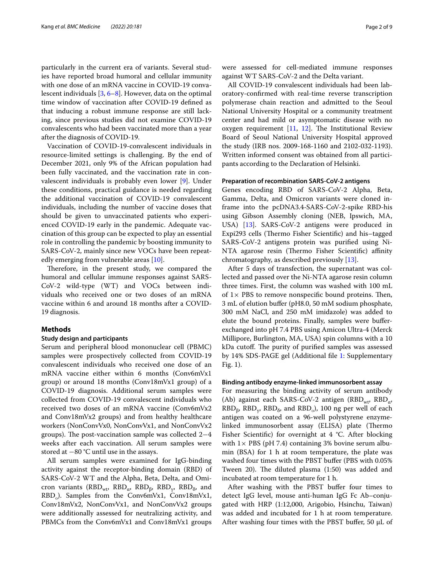particularly in the current era of variants. Several studies have reported broad humoral and cellular immunity with one dose of an mRNA vaccine in COVID-19 convalescent individuals [[3](#page-8-0), [6–](#page-8-2)[8\]](#page-8-3). However, data on the optimal time window of vaccination after COVID-19 defned as that inducing a robust immune response are still lacking, since previous studies did not examine COVID-19 convalescents who had been vaccinated more than a year after the diagnosis of COVID-19.

Vaccination of COVID-19-convalescent individuals in resource-limited settings is challenging. By the end of December 2021, only 9% of the African population had been fully vaccinated, and the vaccination rate in convalescent individuals is probably even lower [\[9](#page-8-4)]. Under these conditions, practical guidance is needed regarding the additional vaccination of COVID-19 convalescent individuals, including the number of vaccine doses that should be given to unvaccinated patients who experienced COVID-19 early in the pandemic. Adequate vaccination of this group can be expected to play an essential role in controlling the pandemic by boosting immunity to SARS-CoV-2, mainly since new VOCs have been repeatedly emerging from vulnerable areas [[10\]](#page-8-5).

Therefore, in the present study, we compared the humoral and cellular immune responses against SARS-CoV-2 wild-type (WT) and VOCs between individuals who received one or two doses of an mRNA vaccine within 6 and around 18 months after a COVID-19 diagnosis.

# **Methods**

# **Study design and participants**

Serum and peripheral blood mononuclear cell (PBMC) samples were prospectively collected from COVID-19 convalescent individuals who received one dose of an mRNA vaccine either within 6 months (Conv6mVx1 group) or around 18 months (Conv18mVx1 group) of a COVID-19 diagnosis. Additional serum samples were collected from COVID-19 convalescent individuals who received two doses of an mRNA vaccine (Conv6mVx2 and Conv18mVx2 groups) and from healthy healthcare workers (NonConvVx0, NonConvVx1, and NonConvVx2 groups). The post-vaccination sample was collected  $2-4$ weeks after each vaccination. All serum samples were stored at −80 °C until use in the assays.

All serum samples were examined for IgG-binding activity against the receptor-binding domain (RBD) of SARS-CoV-2 WT and the Alpha, Beta, Delta, and Omicron variants (RBD<sub>wt</sub>, RBD<sub>α</sub>, RBD<sub>β</sub>, RBD<sub> $\gamma$ </sub>, RBD<sub>δ</sub>, and RBD<sub>o</sub>). Samples from the Conv6mVx1, Conv18mVx1, Conv18mVx2, NonConvVx1, and NonConvVx2 groups were additionally assessed for neutralizing activity, and PBMCs from the Conv6mVx1 and Conv18mVx1 groups were assessed for cell-mediated immune responses against WT SARS-CoV-2 and the Delta variant.

All COVID-19 convalescent individuals had been laboratory-confrmed with real-time reverse transcription polymerase chain reaction and admitted to the Seoul National University Hospital or a community treatment center and had mild or asymptomatic disease with no oxygen requirement  $[11, 12]$  $[11, 12]$  $[11, 12]$ . The Institutional Review Board of Seoul National University Hospital approved the study (IRB nos. 2009-168-1160 and 2102-032-1193). Written informed consent was obtained from all participants according to the Declaration of Helsinki.

## **Preparation of recombination SARS‑CoV‑2 antigens**

Genes encoding RBD of SARS-CoV-2 Alpha, Beta, Gamma, Delta, and Omicron variants were cloned inframe into the pcDNA3.4-SARS-CoV-2-spike RBD-his using Gibson Assembly cloning (NEB, Ipswich, MA, USA) [[13\]](#page-8-8). SARS-CoV-2 antigens were produced in Expi293 cells (Thermo Fisher Scientific) and his-tagged SARS-CoV-2 antigens protein was purifed using Ni-NTA agarose resin (Thermo Fisher Scientific) affinity chromatography, as described previously [[13\]](#page-8-8).

After 5 days of transfection, the supernatant was collected and passed over the Ni-NTA agarose resin column three times. First, the column was washed with 100 mL of  $1 \times$  PBS to remove nonspecific bound proteins. Then, 3 mL of elution bufer (pH8.0, 50 mM sodium phosphate, 300 mM NaCl, and 250 mM imidazole) was added to elute the bound proteins. Finally, samples were buferexchanged into pH 7.4 PBS using Amicon Ultra-4 (Merck Millipore, Burlington, MA, USA) spin columns with a 10 kDa cutoff. The purity of purified samples was assessed by 14% SDS-PAGE gel (Additional fle [1](#page-7-2): Supplementary Fig. 1).

#### **Binding antibody enzyme‑linked immunosorbent assay**

For measuring the binding activity of serum antibody (Ab) against each SARS-CoV-2 antigen (RBD<sub>wt</sub>, RBD<sub>a</sub>,  $RBD_{\beta}$ , RBD<sub>v</sub>, RBD<sub> $\delta$ </sub>, and RBD<sub>0</sub>), 100 ng per well of each antigen was coated on a 96-well polystyrene enzymelinked immunosorbent assay (ELISA) plate (Thermo Fisher Scientifc) for overnight at 4 °C. After blocking with  $1 \times$  PBS (pH 7.4) containing 3% bovine serum albumin (BSA) for 1 h at room temperature, the plate was washed four times with the PBST bufer (PBS with 0.05% Tween 20). The diluted plasma (1:50) was added and incubated at room temperature for 1 h.

After washing with the PBST buffer four times to detect IgG level, mouse anti-human IgG Fc Ab–conjugated with HRP (1:12,000, Arigobio, Hsinchu, Taiwan) was added and incubated for 1 h at room temperature. After washing four times with the PBST buffer, 50  $\mu$ L of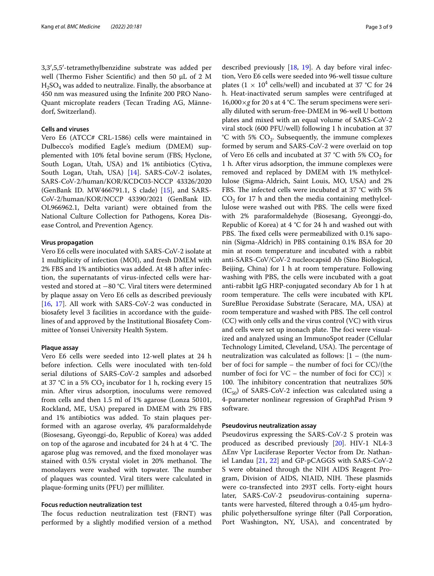3,3′,5,5′-tetramethylbenzidine substrate was added per well (Thermo Fisher Scientific) and then 50 μL of 2 M  $H<sub>2</sub>SO<sub>4</sub>$  was added to neutralize. Finally, the absorbance at 450 nm was measured using the Infnite 200 PRO Nano-Quant microplate readers (Tecan Trading AG, Männedorf, Switzerland).

### **Cells and viruses**

Vero E6 (ATCC# CRL-1586) cells were maintained in Dulbecco's modifed Eagle's medium (DMEM) supplemented with 10% fetal bovine serum (FBS; Hyclone, South Logan, Utah, USA) and 1% antibiotics (Cytiva, South Logan, Utah, USA) [\[14](#page-8-9)]. SARS-CoV-2 isolates, SARS-CoV-2/human/KOR/KCDC03-NCCP 43326/2020 (GenBank ID. MW466791.1, S clade) [[15\]](#page-8-10), and SARS-CoV-2/human/KOR/NCCP 43390/2021 (GenBank ID. OL966962.1, Delta variant) were obtained from the National Culture Collection for Pathogens, Korea Disease Control, and Prevention Agency.

## **Virus propagation**

Vero E6 cells were inoculated with SARS-CoV-2 isolate at 1 multiplicity of infection (MOI), and fresh DMEM with 2% FBS and 1% antibiotics was added. At 48 h after infection, the supernatants of virus-infected cells were harvested and stored at −80 °C. Viral titers were determined by plaque assay on Vero E6 cells as described previously [[16,](#page-8-11) [17\]](#page-8-12). All work with SARS-CoV-2 was conducted in biosafety level 3 facilities in accordance with the guidelines of and approved by the Institutional Biosafety Committee of Yonsei University Health System.

#### **Plaque assay**

Vero E6 cells were seeded into 12-well plates at 24 h before infection. Cells were inoculated with ten-fold serial dilutions of SARS-CoV-2 samples and adsorbed at 37 °C in a 5%  $CO<sub>2</sub>$  incubator for 1 h, rocking every 15 min. After virus adsorption, inoculums were removed from cells and then 1.5 ml of 1% agarose (Lonza 50101, Rockland, ME, USA) prepared in DMEM with 2% FBS and 1% antibiotics was added. To stain plaques performed with an agarose overlay, 4% paraformaldehyde (Biosesang, Gyeonggi-do, Republic of Korea) was added on top of the agarose and incubated for 24 h at  $4 °C$ . The agarose plug was removed, and the fxed monolayer was stained with 0.5% crystal violet in 20% methanol. The monolayers were washed with topwater. The number of plaques was counted. Viral titers were calculated in plaque-forming units (PFU) per milliliter.

# **Focus reduction neutralization test**

The focus reduction neutralization test (FRNT) was performed by a slightly modifed version of a method

described previously [\[18,](#page-8-13) [19](#page-8-14)]. A day before viral infection, Vero E6 cells were seeded into 96-well tissue culture plates ( $1 \times 10^4$  cells/well) and incubated at 37 °C for 24 h. Heat-inactivated serum samples were centrifuged at  $16,000\times g$  for 20 s at 4 °C. The serum specimens were serially diluted with serum-free-DMEM in 96-well U bottom plates and mixed with an equal volume of SARS-CoV-2 viral stock (600 PFU/well) following 1 h incubation at 37 °C with 5%  $CO<sub>2</sub>$ . Subsequently, the immune complexes formed by serum and SARS-CoV-2 were overlaid on top of Vero E6 cells and incubated at 37 °C with 5%  $CO<sub>2</sub>$  for 1 h. After virus adsorption, the immune complexes were removed and replaced by DMEM with 1% methylcellulose (Sigma-Aldrich, Saint Louis, MO, USA) and 2% FBS. The infected cells were incubated at 37  $^{\circ}$ C with 5%  $CO<sub>2</sub>$  for 17 h and then the media containing methylcellulose were washed out with PBS. The cells were fixed with 2% paraformaldehyde (Biosesang, Gyeonggi-do, Republic of Korea) at 4 °C for 24 h and washed out with PBS. The fixed cells were permeabilized with 0.1% saponin (Sigma-Aldrich) in PBS containing 0.1% BSA for 20 min at room temperature and incubated with a rabbit anti-SARS-CoV/CoV-2 nucleocapsid Ab (Sino Biological, Beijing, China) for 1 h at room temperature. Following washing with PBS, the cells were incubated with a goat anti-rabbit IgG HRP-conjugated secondary Ab for 1 h at room temperature. The cells were incubated with KPL SureBlue Peroxidase Substrate (Seracare, MA, USA) at room temperature and washed with PBS. The cell control (CC) with only cells and the virus control (VC) with virus and cells were set up inonach plate. The foci were visualized and analyzed using an ImmunoSpot reader (Cellular Technology Limited, Cleveland, USA). The percentage of neutralization was calculated as follows:  $[1 -$  (the number of foci for sample – the number of foci for CC)/(the number of foci for VC – the number of foci for CC)]  $\times$ 100. The inhibitory concentration that neutralizes 50%  $(IC_{50})$  of SARS-CoV-2 infection was calculated using a 4-parameter nonlinear regression of GraphPad Prism 9 software.

# **Pseudovirus neutralization assay**

Pseudovirus expressing the SARS-CoV-2 S protein was produced as described previously [[20](#page-8-15)]. HIV-1 NL4-3 ΔEnv Vpr Luciferase Reporter Vector from Dr. Nathaniel Landau [[21,](#page-8-16) [22](#page-8-17)] and GP-pCAGGS with SARS-CoV-2 S were obtained through the NIH AIDS Reagent Program, Division of AIDS, NIAID, NIH. These plasmids were co-transfected into 293T cells. Forty-eight hours later, SARS-CoV-2 pseudovirus-containing supernatants were harvested, fltered through a 0.45-μm hydrophilic polyethersulfone syringe flter (Pall Corporation, Port Washington, NY, USA), and concentrated by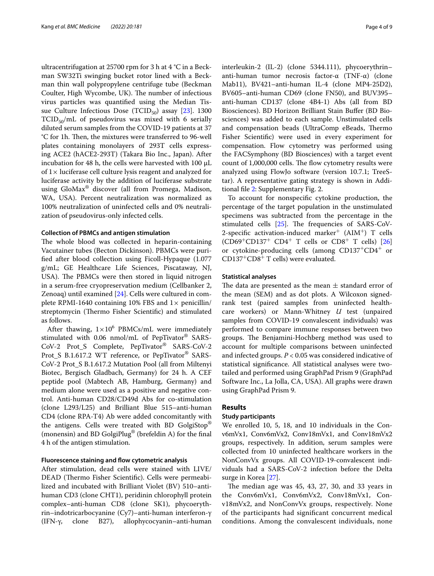ultracentrifugation at 25700 rpm for 3 h at 4 °C in a Beckman SW32Ti swinging bucket rotor lined with a Beckman thin wall polypropylene centrifuge tube (Beckman Coulter, High Wycombe, UK). The number of infectious virus particles was quantifed using the Median Tis-sue Culture Infectious Dose (TCID<sub>50</sub>) assay [\[23](#page-8-18)]. 1300  $TCID_{50}/mL$  of pseudovirus was mixed with 6 serially diluted serum samples from the COVID-19 patients at 37 °C for 1h. Then, the mixtures were transferred to 96-well plates containing monolayers of 293T cells expressing ACE2 (hACE2-293T) (Takara Bio Inc., Japan). After incubation for 48 h, the cells were harvested with 100 μL of  $1\times$  luciferase cell culture lysis reagent and analyzed for luciferase activity by the addition of luciferase substrate using GloMax® discover (all from Promega, Madison, WA, USA). Percent neutralization was normalized as 100% neutralization of uninfected cells and 0% neutralization of pseudovirus-only infected cells.

#### **Collection of PBMCs and antigen stimulation**

The whole blood was collected in heparin-containing Vacutainer tubes (Becton Dickinson). PBMCs were purifed after blood collection using Ficoll-Hypaque (1.077 g/mL; GE Healthcare Life Sciences, Piscataway, NJ, USA). The PBMCs were then stored in liquid nitrogen in a serum-free cryopreservation medium (Cellbanker 2, Zenoaq) until examined [\[24](#page-8-19)]. Cells were cultured in complete RPMI-1640 containing 10% FBS and  $1\times$  penicillin/ streptomycin (Thermo Fisher Scientific) and stimulated as follows.

After thawing,  $1 \times 10^6$  PBMCs/mL were immediately stimulated with 0.06 nmol/mL of PepTivator® SARS-CoV-2 Prot\_S Complete, PepTivator® SARS-CoV-2 Prot\_S B.1.617.2 WT reference, or PepTivator® SARS-CoV-2 Prot\_S B.1.617.2 Mutation Pool (all from Miltenyi Biotec, Bergisch Gladbach, Germany) for 24 h. A CEF peptide pool (Mabtech AB, Hamburg, Germany) and medium alone were used as a positive and negative control. Anti-human CD28/CD49d Abs for co-stimulation (clone L293/L25) and Brilliant Blue 515–anti-human CD4 (clone RPA-T4) Ab were added concomitantly with the antigens. Cells were treated with BD GolgiStop® (monensin) and BD GolgiPlug® (brefeldin A) for the fnal 4 h of the antigen stimulation.

# **Fluorescence staining and fow cytometric analysis**

After stimulation, dead cells were stained with LIVE/ DEAD (Thermo Fisher Scientific). Cells were permeabilized and incubated with Brilliant Violet (BV) 510–antihuman CD3 (clone CHT1), peridinin chlorophyll protein complex–anti-human CD8 (clone SK1), phycoerythrin–indotricarbocyanine (Cy7)–anti-human interferon-γ (IFN-γ, clone B27), allophycocyanin–anti-human interleukin-2 (IL-2) (clone 5344.111), phycoerythrin– anti-human tumor necrosis factor-α (TNF-α) (clone Mab11), BV421–anti-human IL-4 (clone MP4-25D2), BV605–anti-human CD69 (clone FN50), and BUV395– anti-human CD137 (clone 4B4-1) Abs (all from BD Biosciences). BD Horizon Brilliant Stain Bufer (BD Biosciences) was added to each sample. Unstimulated cells and compensation beads (UltraComp eBeads, Thermo Fisher Scientifc) were used in every experiment for compensation. Flow cytometry was performed using the FACSymphony (BD Biosciences) with a target event count of 1,000,000 cells. The flow cytometry results were analyzed using FlowJo software (version 10.7.1; TreeStar). A representative gating strategy is shown in Additional fle [2](#page-7-3): Supplementary Fig. 2.

To account for nonspecifc cytokine production, the percentage of the target population in the unstimulated specimens was subtracted from the percentage in the stimulated cells  $[25]$  $[25]$  $[25]$ . The frequencies of SARS-CoV-2-specific activation-induced marker<sup>+</sup> (AIM<sup>+</sup>) T cells  $(CD69+CD137^+ CD4^+ T$  cells or  $CD8^+ T$  cells) [[26](#page-8-21)] or cytokine-producing cells (among CD137+CD4+ or  $CD137^+CD8^+$  T cells) were evaluated.

# **Statistical analyses**

The data are presented as the mean  $\pm$  standard error of the mean (SEM) and as dot plots. A Wilcoxon signedrank test (paired samples from uninfected healthcare workers) or Mann-Whitney *U* test (unpaired samples from COVID-19 convalescent individuals) was performed to compare immune responses between two groups. The Benjamini-Hochberg method was used to account for multiple comparisons between uninfected and infected groups. *P* < 0.05 was considered indicative of statistical signifcance. All statistical analyses were twotailed and performed using GraphPad Prism 9 (GraphPad Software Inc., La Jolla, CA, USA). All graphs were drawn using GraphPad Prism 9.

# **Results**

# **Study participants**

We enrolled 10, 5, 18, and 10 individuals in the Conv6mVx1, Conv6mVx2, Conv18mVx1, and Conv18mVx2 groups, respectively. In addition, serum samples were collected from 10 uninfected healthcare workers in the NonConvVx groups. All COVID-19-convalescent individuals had a SARS-CoV-2 infection before the Delta surge in Korea [\[27](#page-8-22)].

The median age was  $45, 43, 27, 30,$  and  $33$  years in the Conv6mVx1, Conv6mVx2, Conv18mVx1, Conv18mVx2, and NonConvVx groups, respectively. None of the participants had signifcant concurrent medical conditions. Among the convalescent individuals, none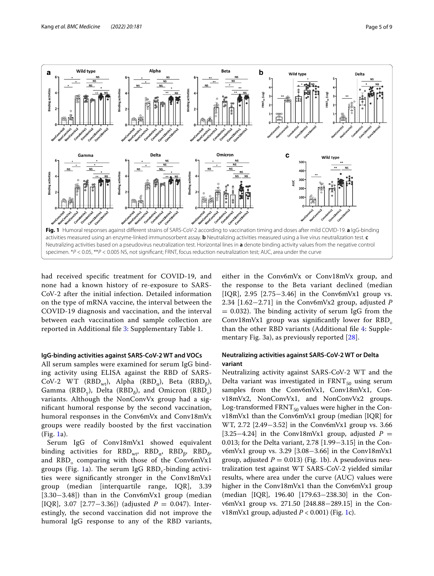

<span id="page-4-0"></span>had received specifc treatment for COVID-19, and none had a known history of re-exposure to SARS-CoV-2 after the initial infection. Detailed information on the type of mRNA vaccine, the interval between the COVID-19 diagnosis and vaccination, and the interval between each vaccination and sample collection are reported in Additional fle [3](#page-7-4): Supplementary Table 1.

# **IgG‑binding activities against SARS‑CoV‑2 WT and VOCs**

All serum samples were examined for serum IgG binding activity using ELISA against the RBD of SARS-CoV-2 WT (RBD<sub>wt</sub>), Alpha (RBD<sub>α</sub>), Beta (RBD<sub>β</sub>), Gamma (RBD<sub>v</sub>), Delta (RBD<sub>δ</sub>), and Omicron (RBD<sub>0</sub>) variants. Although the NonConvVx group had a signifcant humoral response by the second vaccination, humoral responses in the Conv6mVx and Conv18mVx groups were readily boosted by the frst vaccination (Fig. [1a](#page-4-0)).

Serum IgG of Conv18mVx1 showed equivalent binding activities for RBD<sub>wt</sub>, RBD<sub>a</sub>, RBD<sub>8</sub>, RBD<sub>δ</sub>, and RBD<sub>0</sub> comparing with those of the Conv6mVx1 groups (Fig. [1](#page-4-0)a). The serum IgG  $RBD_y$ -binding activities were signifcantly stronger in the Conv18mVx1 group (median [interquartile range, IQR], 3.39 [3.30−3.48]) than in the Conv6mVx1 group (median [IQR], 3.07 [2.77−3.36]) (adjusted *P* = 0.047). Interestingly, the second vaccination did not improve the humoral IgG response to any of the RBD variants, either in the Conv6mVx or Conv18mVx group, and the response to the Beta variant declined (median [IQR], 2.95 [2.75–3.46] in the Conv6mVx1 group vs. 2.34 [1.62−2.71] in the Conv6mVx2 group, adjusted *P*  $= 0.032$ ). The binding activity of serum IgG from the Conv18mVx1 group was significantly lower for  $RBD_0$ than the other RBD variants (Additional fle [4:](#page-7-5) Supplementary Fig. 3a), as previously reported [[28\]](#page-8-23).

# **Neutralizing activities against SARS‑CoV‑2 WT or Delta variant**

Neutralizing activity against SARS-CoV-2 WT and the Delta variant was investigated in  $FRNT_{50}$  using serum samples from the Conv6mVx1, Conv18mVx1, Conv18mVx2, NonConvVx1, and NonConvVx2 groups. Log-transformed  $FRNT_{50}$  values were higher in the Conv18mVx1 than the Conv6mVx1 group (median [IQR] for WT, 2.72 [2.49−3.52] in the Conv6mVx1 group vs. 3.66 [3.25−4.24] in the Conv18mVx1 group, adjusted *P* = 0.013; for the Delta variant, 2.78 [1.99−3.15] in the Conv6mVx1 group vs. 3.29 [3.08−3.66] in the Conv18mVx1 group, adjusted  $P = 0.013$ ) (Fig. [1b](#page-4-0)). A pseudovirus neutralization test against WT SARS-CoV-2 yielded similar results, where area under the curve (AUC) values were higher in the Conv18mVx1 than the Conv6mVx1 group (median [IQR], 196.40 [179.63−238.30] in the Conv6mVx1 group vs. 271.50 [248.88−289.15] in the Conv18mVx1 group, adjusted  $P < 0.001$ ) (Fig. [1c](#page-4-0)).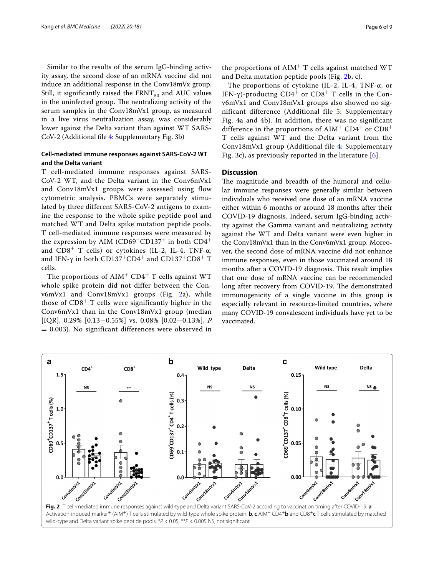Similar to the results of the serum IgG-binding activity assay, the second dose of an mRNA vaccine did not induce an additional response in the Conv18mVx group. Still, it significantly raised the  $FRNT_{50}$  and AUC values in the uninfected group. The neutralizing activity of the serum samples in the Conv18mVx1 group, as measured in a live virus neutralization assay, was considerably lower against the Delta variant than against WT SARS-CoV-2 (Additional fle [4:](#page-7-5) Supplementary Fig. 3b)

# **Cell‑mediated immune responses against SARS‑CoV‑2 WT and the Delta variant**

T cell-mediated immune responses against SARS-CoV-2 WT, and the Delta variant in the Conv6mVx1 and Conv18mVx1 groups were assessed using flow cytometric analysis. PBMCs were separately stimulated by three different SARS-CoV-2 antigens to examine the response to the whole spike peptide pool and matched WT and Delta spike mutation peptide pools. T cell-mediated immune responses were measured by the expression by AIM (CD69<sup>+</sup>CD137<sup>+</sup> in both  $CD4^+$ and  $CD8^+$  T cells) or cytokines (IL-2, IL-4, TNF- $\alpha$ , and IFN-γ in both CD137<sup>+</sup>CD4<sup>+</sup> and CD137<sup>+</sup>CD8<sup>+</sup> T cells.

The proportions of  $\text{AIM}^+$  CD4<sup>+</sup> T cells against WT whole spike protein did not differ between the Conv6mVx1 and Conv18mVx1 groups (Fig. [2a](#page-5-0)), while those of  $CD8<sup>+</sup>$  T cells were significantly higher in the Conv6mVx1 than in the Conv18mVx1 group (median [IQR], 0.29% [0.13−0.55%] vs. 0.08% [0.02−0.13%], *P* = 0.003). No significant differences were observed in

the proportions of  $AIM<sup>+</sup>$  T cells against matched WT and Delta mutation peptide pools (Fig. [2](#page-5-0)b, c).

The proportions of cytokine (IL-2, IL-4, TNF-α, or IFN-γ)-producing  $CD4^+$  or  $CD8^+$  T cells in the Conv6mVx1 and Conv18mVx1 groups also showed no significant difference (Additional file [5:](#page-7-6) Supplementary Fig. 4a and 4b). In addition, there was no significant difference in the proportions of  $\text{AIM}^+$  CD4<sup>+</sup> or CD8<sup>+</sup> T cells against WT and the Delta variant from the Conv18mVx1 group (Additional file [4](#page-7-5): Supplementary Fig. 3c), as previously reported in the literature [[6](#page-8-2)].

# **Discussion**

The magnitude and breadth of the humoral and cellular immune responses were generally similar between individuals who received one dose of an mRNA vaccine either within 6 months or around 18 months after their COVID-19 diagnosis. Indeed, serum IgG-binding activity against the Gamma variant and neutralizing activity against the WT and Delta variant were even higher in the Conv18mVx1 than in the Conv6mVx1 group. Moreover, the second dose of mRNA vaccine did not enhance immune responses, even in those vaccinated around 18 months after a COVID-19 diagnosis. This result implies that one dose of mRNA vaccine can be recommended long after recovery from COVID-19. The demonstrated immunogenicity of a single vaccine in this group is especially relevant in resource-limited countries, where many COVID-19 convalescent individuals have yet to be vaccinated.

<span id="page-5-0"></span>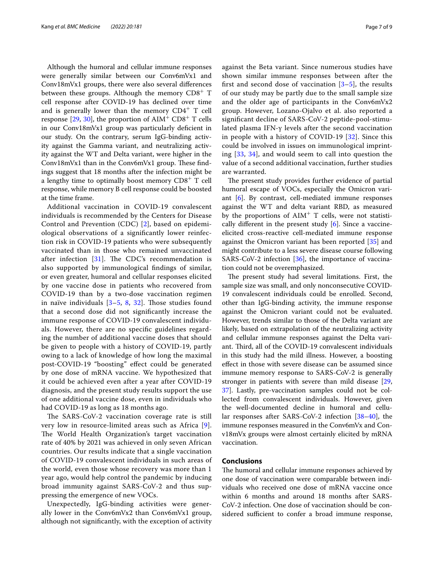Although the humoral and cellular immune responses were generally similar between our Conv6mVx1 and Conv18mVx1 groups, there were also several diferences between these groups. Although the memory  $CD8^+$  T cell response after COVID-19 has declined over time and is generally lower than the memory  $CD4^+$  T cell response  $[29, 30]$  $[29, 30]$  $[29, 30]$  $[29, 30]$ , the proportion of AIM<sup>+</sup> CD8<sup>+</sup> T cells in our Conv18mVx1 group was particularly defcient in our study. On the contrary, serum IgG-binding activity against the Gamma variant, and neutralizing activity against the WT and Delta variant, were higher in the Conv18mVx1 than in the Conv6mVx1 group. These findings suggest that 18 months after the infection might be a lengthy time to optimally boost memory  $CDS^+$  T cell response, while memory B cell response could be boosted at the time frame.

Additional vaccination in COVID-19 convalescent individuals is recommended by the Centers for Disease Control and Prevention (CDC) [[2\]](#page-7-1), based on epidemiological observations of a signifcantly lower reinfection risk in COVID-19 patients who were subsequently vaccinated than in those who remained unvaccinated after infection  $[31]$  $[31]$ . The CDC's recommendation is also supported by immunological fndings of similar, or even greater, humoral and cellular responses elicited by one vaccine dose in patients who recovered from COVID-19 than by a two-dose vaccination regimen in naïve individuals  $[3-5, 8, 32]$  $[3-5, 8, 32]$  $[3-5, 8, 32]$  $[3-5, 8, 32]$  $[3-5, 8, 32]$  $[3-5, 8, 32]$ . Those studies found that a second dose did not signifcantly increase the immune response of COVID-19 convalescent individuals. However, there are no specifc guidelines regarding the number of additional vaccine doses that should be given to people with a history of COVID-19, partly owing to a lack of knowledge of how long the maximal post-COVID-19 "boosting" efect could be generated by one dose of mRNA vaccine. We hypothesized that it could be achieved even after a year after COVID-19 diagnosis, and the present study results support the use of one additional vaccine dose, even in individuals who had COVID-19 as long as 18 months ago.

The SARS-CoV-2 vaccination coverage rate is still very low in resource-limited areas such as Africa [[9\]](#page-8-4). The World Health Organization's target vaccination rate of 40% by 2021 was achieved in only seven African countries. Our results indicate that a single vaccination of COVID-19 convalescent individuals in such areas of the world, even those whose recovery was more than 1 year ago, would help control the pandemic by inducing broad immunity against SARS-CoV-2 and thus suppressing the emergence of new VOCs.

Unexpectedly, IgG-binding activities were generally lower in the Conv6mVx2 than Conv6mVx1 group, although not signifcantly, with the exception of activity against the Beta variant. Since numerous studies have shown similar immune responses between after the first and second dose of vaccination  $[3-5]$  $[3-5]$  $[3-5]$ , the results of our study may be partly due to the small sample size and the older age of participants in the Conv6mVx2 group. However, Lozano-Ojalvo et al. also reported a signifcant decline of SARS-CoV-2 peptide-pool-stimulated plasma IFN-γ levels after the second vaccination in people with a history of COVID-19 [[32\]](#page-8-27). Since this could be involved in issues on immunological imprinting [[33,](#page-8-28) [34](#page-8-29)], and would seem to call into question the value of a second additional vaccination, further studies are warranted.

The present study provides further evidence of partial humoral escape of VOCs, especially the Omicron variant [\[6](#page-8-2)]. By contrast, cell-mediated immune responses against the WT and delta variant RBD, as measured by the proportions of  $\text{AIM}^+$  T cells, were not statistically different in the present study  $[6]$  $[6]$ . Since a vaccineelicited cross-reactive cell-mediated immune response against the Omicron variant has been reported [\[35](#page-8-30)] and might contribute to a less severe disease course following SARS-CoV-2 infection [\[36](#page-8-31)], the importance of vaccination could not be overemphasized.

The present study had several limitations. First, the sample size was small, and only nonconsecutive COVID-19 convalescent individuals could be enrolled. Second, other than IgG-binding activity, the immune response against the Omicron variant could not be evaluated. However, trends similar to those of the Delta variant are likely, based on extrapolation of the neutralizing activity and cellular immune responses against the Delta variant. Third, all of the COVID-19 convalescent individuals in this study had the mild illness. However, a boosting efect in those with severe disease can be assumed since immune memory response to SARS-CoV-2 is generally stronger in patients with severe than mild disease [[29](#page-8-24), [37\]](#page-8-32). Lastly, pre-vaccination samples could not be collected from convalescent individuals. However, given the well-documented decline in humoral and cellular responses after SARS-CoV-2 infection [\[38–](#page-8-33)[40\]](#page-8-34), the immune responses measured in the Conv6mVx and Conv18mVx groups were almost certainly elicited by mRNA vaccination.

# **Conclusions**

The humoral and cellular immune responses achieved by one dose of vaccination were comparable between individuals who received one dose of mRNA vaccine once within 6 months and around 18 months after SARS-CoV-2 infection. One dose of vaccination should be considered sufficient to confer a broad immune response,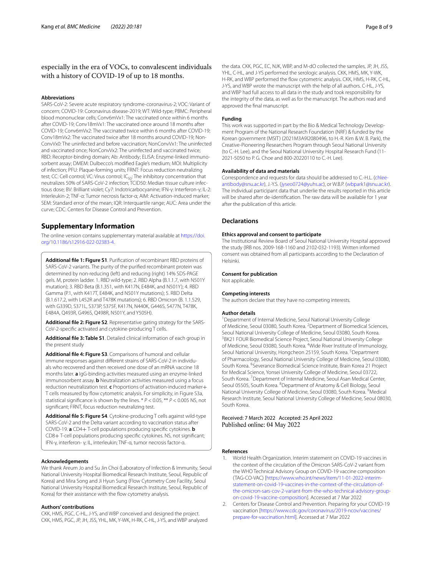# especially in the era of VOCs, to convalescent individuals with a history of COVID-19 of up to 18 months.

#### **Abbreviations**

SARS-CoV-2: Severe acute respiratory syndrome-coronavirus-2; VOC: Variant of concern; COVID-19: Coronavirus disease-2019; WT: Wild-type; PBMC: Peripheral blood mononuclear cells; Conv6mVx1: The vaccinated once within 6 months after COVID-19; Conv18mVx1: The vaccinated once around 18 months after COVID-19; Conv6mVx2: The vaccinated twice within 6 months after COVID-19; Conv18mVx2: The vaccinated twice after 18 months around COVID-19; Non‑ ConvVx0: The uninfected and before vaccination; NonConvVx1: The uninfected and vaccinated once; NonConvVx2: The uninfected and vaccinated twice; RBD: Receptor-binding domain; Ab: Antibody; ELISA: Enzyme-linked immunosorbent assay; DMEM: Dulbecco's modifed Eagle's medium; MOI: Multiplicity of infection; PFU: Plaque-forming units; FRNT: Focus reduction neutralizing test; CC: Cell control; VC: Virus control; IC<sub>50</sub>: The inhibitory concentration that neutralizes 50% of SARS-CoV-2 infection; TCID50: Median tissue culture infectious dose; BV: Brilliant violet; Cy7: Indotricarbocyanine; IFN-γ: Interferon-γ; IL-2: Interleukin-2; TNF-α: Tumor necrosis factor-α; AIM: Activation-induced marker; SEM: Standard error of the mean; IQR: Interquartile range; AUC: Area under the curve; CDC: Centers for Disease Control and Prevention.

# **Supplementary Information**

The online version contains supplementary material available at [https://doi.](https://doi.org/10.1186/s12916-022-02383-4) [org/10.1186/s12916-022-02383-4](https://doi.org/10.1186/s12916-022-02383-4).

<span id="page-7-2"></span>**Additional fle 1: Figure S1**. Purifcation of recombinant RBD proteins of SARS-CoV-2 variants. The purity of the purifed recombinant protein was determined by non-reducing (left) and reducing (right) 14% SDS-PAGE gels. M, protein ladder. 1. RBD wild-type; 2. RBD Alpha (B.1.1.7, with N501Y mutation); 3. RBD Beta (B.1.351, with K417N, E484K, and N501Y); 4. RBD Gamma (P.1, with K417T, E484K, and N501Y mutations); 5. RBD Delta (B.1.617.2, with L452R and T478K mutations); 6. RBD Omicron (B. 1.1.529, with G339D, S371L, S373P, S375F, K417N, N440K, G446S, S477N, T478K, E484A, Q493R, G496S, Q498R, N501Y, and Y505H).

<span id="page-7-4"></span><span id="page-7-3"></span>**Additional fle 2: Figure S2**. Representative gating strategy for the SARS-CoV-2-specifc activated and cytokine-producing T cells.

<span id="page-7-5"></span>**Additional fle 3: Table S1**. Detailed clinical information of each group in the present study

**Additional fle 4: Figure S3**. Comparisons of humoral and cellular immune responses against different strains of SARS-CoV-2 in individuals who recovered and then received one dose of an mRNA vaccine 18 months later. **a** IgG-binding activities measured using an enzyme-linked immunosorbent assay. **b** Neutralization activities measured using a focus reduction neutralization test. **c** Proportions of activation-induced marker+ T cells measured by fow cytometric analysis. For simplicity, in Figure S3a, statistical signifcance is shown by the lines. \* *P* < 0.05, \*\* *P* < 0.005 NS, not signifcant; FRNT, focus reduction neutralizing test.

<span id="page-7-6"></span>**Additional fle 5: Figure S4**. Cytokine-producing T cells against wild-type SARS-CoV-2 and the Delta variant according to vaccination status after COVID-19. **a** CD4+ T-cell populations producing specifc cytokines. **b** CD8+ T-cell populations producing specifc cytokines. NS, not signifcant; IFN-γ, interferon- γ; IL, interleukin; TNF-α, tumor necrosis factor-α.

#### **Acknowledgements**

We thank Areum Jo and Su Jin Choi (Laboratory of Infection & Immunity, Seoul National University Hospital Biomedical Research Institute, Seoul, Republic of Korea) and Mira Song and Ji Hyun Sung (Flow Cytometry Core Facility, Seoul National University Hospital Biomedical Research Institute, Seoul, Republic of Korea) for their assistance with the flow cytometry analysis.

#### **Authors' contributions**

CKK, HMS, PGC, C-HL, J-YS, and WBP conceived and designed the project. CKK, HMS, PGC, JP, JH, JSS, YHL, MK, Y-WK, H-RK, C-HL, J-YS, and WBP analyzed the data. CKK, PGC, EC, NJK, WBP, and M-dO collected the samples, JP, JH, JSS, YHL, C-HL, and J-YS performed the serologic analysis. CKK, HMS, MK, Y-WK, H-RK, and WBP performed the fow cytometric analysis. CKK, HMS, H-RK, C-HL, J-YS, and WBP wrote the manuscript with the help of all authors. C-HL, J-YS, and WBP had full access to all data in the study and took responsibility for the integrity of the data, as well as for the manuscript. The authors read and approved the fnal manuscript.

#### **Funding**

This work was supported in part by the Bio & Medical Technology Development Program of the National Research Foundation (NRF) & funded by the Korean government (MSIT) (2021M3A9I2080496, to H.-R. Kim & W. B. Park), the Creative-Pioneering Researchers Program through Seoul National University (to C.-H. Lee), and the Seoul National University Hospital Research Fund (11-2021-5050 to P. G. Choe and 800-20220110 to C.-H. Lee).

#### **Availability of data and materials**

Correspondence and requests for data should be addressed to C.-H.L. ([chlee](chlee-antibody@snu.ac.kr) [antibody@snu.ac.kr](chlee-antibody@snu.ac.kr)), J.-Y.S. ([jyseo0724@yuhs.ac\)](jyseo0724@yuhs.ac), or W.B.P. [\(wbpark1@snu.ac.kr](wbpark1@snu.ac.kr)). The individual participant data that underlie the results reported in this article will be shared after de-identifcation. The raw data will be available for 1 year after the publication of this article.

# **Declarations**

### **Ethics approval and consent to participate**

The Institutional Review Board of Seoul National University Hospital approved the study (IRB nos. 2009-168-1160 and 2102-032-1193). Written informed consent was obtained from all participants according to the Declaration of Helsinki.

#### **Consent for publication**

Not applicable.

#### **Competing interests**

The authors declare that they have no competing interests.

#### **Author details**

<sup>1</sup> Department of Internal Medicine, Seoul National University College of Medicine, Seoul 03080, South Korea. <sup>2</sup> Department of Biomedical Sciences, Seoul National University College of Medicine, Seoul 03080, South Korea. 3 <sup>3</sup>BK21 FOUR Biomedical Science Project, Seoul National University College of Medicine, Seoul 03080, South Korea. <sup>4</sup>Wide River Institute of Immunology, Seoul National University, Hongcheon 25159, South Korea.<sup>5</sup> Department of Pharmacology, Seoul National University College of Medicine, Seoul 03080, South Korea. 6 Severance Biomedical Science Institute, Brain Korea 21 Project for Medical Science, Yonsei University College of Medicine, Seoul 03722, South Korea.<sup>7</sup> Department of Internal Medicine, Seoul Asan Medical Center, Seoul 05505, South Korea. <sup>8</sup> Department of Anatomy & Cell Biology, Seoul National University College of Medicine, Seoul 03080, South Korea. <sup>9</sup>Medical Research Institute, Seoul National University College of Medicine, Seoul 08030, South Korea.

# Received: 7 March 2022 Accepted: 25 April 2022

#### **References**

- <span id="page-7-0"></span>1. World Health Organization. Interim statement on COVID-19 vaccines in the context of the circulation of the Omicron SARS-CoV-2 variant from the WHO Technical Advisory Group on COVID-19 vaccine composition (TAG-CO-VAC) [[https://www.who.int/news/item/11-01-2022-interim](https://www.who.int/news/item/11-01-2022-interim-statement-on-covid-19-vaccines-in-the-context-of-the-circulation-of-the-omicron-sars-cov-2-variant-from-the-who-technical-advisory-group-on-covid-19-vaccine-composition) [statement-on-covid-19-vaccines-in-the-context-of-the-circulation-of](https://www.who.int/news/item/11-01-2022-interim-statement-on-covid-19-vaccines-in-the-context-of-the-circulation-of-the-omicron-sars-cov-2-variant-from-the-who-technical-advisory-group-on-covid-19-vaccine-composition) [the-omicron-sars-cov-2-variant-from-the-who-technical-advisory-group](https://www.who.int/news/item/11-01-2022-interim-statement-on-covid-19-vaccines-in-the-context-of-the-circulation-of-the-omicron-sars-cov-2-variant-from-the-who-technical-advisory-group-on-covid-19-vaccine-composition) [on-covid-19-vaccine-composition](https://www.who.int/news/item/11-01-2022-interim-statement-on-covid-19-vaccines-in-the-context-of-the-circulation-of-the-omicron-sars-cov-2-variant-from-the-who-technical-advisory-group-on-covid-19-vaccine-composition)]. Accessed at 7 Mar 2022
- <span id="page-7-1"></span>2. Centers for Disease Control and Prevention. Preparing for your COVID-19 vaccination [[https://www.cdc.gov/coronavirus/2019-ncov/vaccines/](https://www.cdc.gov/coronavirus/2019-ncov/vaccines/prepare-for-vaccination.html) [prepare-for-vaccination.html](https://www.cdc.gov/coronavirus/2019-ncov/vaccines/prepare-for-vaccination.html)]. Accessed at 7 Mar 2022